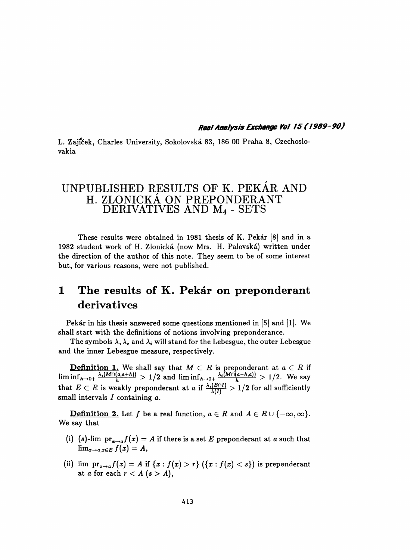Real Analysis Exchange Va! /5 ( 1 909-90)

 L. Zajíček, Charles University, Sokolovská 83, 186 00 Praha 8, Czechoslo vakia

## UNPUBLISHED RESULTS OF K. PEKÁR AND H. ZLONICKÁ ON PREPONDERANT DERIVATIVES AND M4 - SETS

 These results were obtained in 1981 thesis of K. Pekár [8] and in a 1982 student work of H. Zlonická (now Mrs. H. Palovská) written under the direction of the author of this note. They seem to be of some interest but, for various reasons, were not published.

## 1 The results of K. Pekár on preponderant derivatives

 Pekár in his thesis answered some questions mentioned in [5] and [1]. We shall start with the definitions of notions involving preponderance.

The symbols  $\lambda, \lambda_{\epsilon}$  and  $\lambda_{i}$  will stand for the Lebesgue, the outer Lebesgue and the inner Lebesgue measure, respectively.

**Definition 1.** We shall say that  $M \subset R$  is preponderant at  $a \in R$  if  $\liminf_{h\to 0+} \frac{m(n+1)(n-1)}{h} > 1/2$  and  $\liminf_{h\to 0+} \frac{m(n+1)(n-1)}{h} > 1/2$ . We say that  $E \subset R$  is weakly preponderant at a if  $\frac{\lambda_i(E \cap H)}{\lambda(I)} > 1/2$  for all sufficiently small intervals  $I$  containing  $a$ .

**Definition 2.** Let f be a real function,  $a \in R$  and  $A \in R \cup \{-\infty, \infty\}$ . We say that

- (i) (s)-lim  $pr_{x\rightarrow a}f(x) = A$  if there is a set E preponderant at a such that  $\lim_{x\to a, x\in E} f(x) = A,$
- (ii) lim  $\mathrm{pr}_{x\to a}f(x) = A$  if  $\{x : f(x) > r\}$   $(\{x : f(x) < s\})$  is preponderant at a for each  $r < A$  ( $s > A$ ),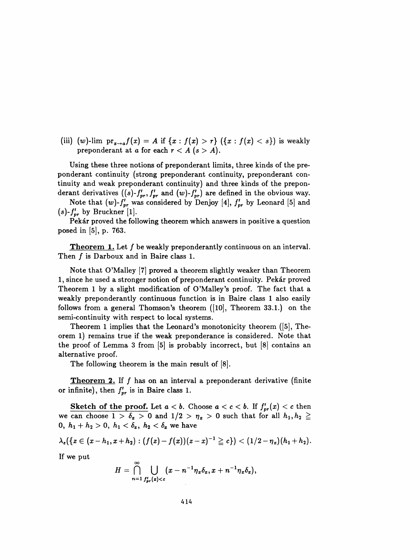(iii) (w)-lim  ${\rm pr}_{x\to a} f(x) = A$  if  ${x : f(x) > r}$  ( ${x : f(x) < s}$ ) is weakly preponderant at a for each  $r < A$  ( $s > A$ ).

 Using these three notions of preponderant limits, three kinds of the pre ponderant continuity (strong preponderant continuity, preponderant con tinuity and weak preponderant continuity) and three kinds of the prepon derant derivatives  $((s)-f_{pr},f_{pr})$  and  $(w)-f_{pr})$  are defined in the obvious way.

Note that  $(w)$ - $f_{pr}$  was considered by Denjoy [4],  $f_{pr}$  by Leonard [5] and  $(s)$ - $f'_{pr}$  by Bruckner [1].

 Pekár proved the following theorem which answers in positive a question posed in [5], p. 763.

**Theorem 1.** Let f be weakly preponderantly continuous on an interval. Then  $f$  is Darboux and in Baire class 1.

 Note that O'Malley [7] proved a theorem slightly weaker than Theorem 1, since he used a stronger notion of preponderant continuity. Pekár proved Theorem 1 by a slight modification of O'Malley's proof. The fact that a weakly preponderantly continuous function is in Baire class 1 also easily follows from a general Thomson's theorem ([10], Theorem 33.1.) on the semi-continuity with respect to local systems.

 Theorem 1 implies that the Leonard's monotonicity theorem ([5], The orem 1) remains true if the weak preponderance is considered. Note that the proof of Lemma 3 from  $[5]$  is probably incorrect, but  $[8]$  contains an alternative proof.

The following theorem is the main result of [8].

**Theorem 2.** If f has on an interval a preponderant derivative (finite or infinite), then  $f'_{pr}$  is in Baire class 1.

Sketch of the proof. Let  $a < b$ . Choose  $a < c < b$ . If  $f'_{pr}(x) < c$  then we can choose  $1 > \delta_x > 0$  and  $1/2 > \eta_x > 0$  such that for all  $h_1, h_2 \ge$ 0,  $h_1 + h_2 > 0$ ,  $h_1 < \delta_x$ ,  $h_2 < \delta_x$  we have

$$
\lambda_e(\{z\in (x-h_1,x+h_2): (f(z)-f(x))(z-x)^{-1}\geqq c\})< (1/2-\eta_x)(h_1+h_2).
$$

If we put

$$
H = \bigcap_{n=1}^{\infty} \bigcup_{f'_{pr}(x) < c} (x - n^{-1} \eta_x \delta_x, x + n^{-1} \eta_x \delta_x),
$$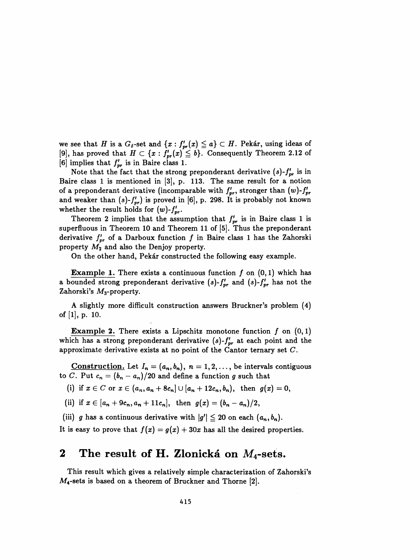we see that H is a  $G_{\delta}$ -set and  $\{x : f'_{pr}(x) \leq a\} \subset H$ . Pekár, using ideas of [9], has proved that  $H \subset \{x : f'_{pr}(x) \leq b\}$ . Consequently Theorem 2.12 of [6] implies that  $f'_{pr}$  is in Baire class 1.

Note that the fact that the strong preponderant derivative  $(s)$ - $f'_{pr}$  is in Baire class 1 is mentioned in [3], p. 113. The same result for a notion of a preponderant derivative (incomparable with  $f'_{pr}$ , stronger than  $(w)-f'_{pr}$ and weaker than  $(s)$ - $f'_{pr}$ ) is proved in [6], p. 298. It is probably not known whether the result holds for  $(w)$ - $f'_{pr}$ .

Theorem 2 implies that the assumption that  $f'_{pr}$  is in Baire class 1 is superfluous in Theorem 10 and Theorem 11 of [5]. Thus the preponderant derivative  $f'_{pr}$  of a Darboux function f in Baire class 1 has the Zahorski property  $M_2$  and also the Denjoy property.

On the other hand, Pekár constructed the following easy example.

**Example 1.** There exists a continuous function  $f$  on  $(0, 1)$  which has a bounded strong preponderant derivative (s)- $f'_{pr}$  and (s)- $f'_{pr}$  has not the Zahorski's  $M_3$ -property.

 A slightly more difficult construction answers Bruckner's problem (4) of [1], p. 10.

**Example 2.** There exists a Lipschitz monotone function  $f$  on  $(0, 1)$ which has a strong preponderant derivative  $(s)$ - $f'_{pr}$  at each point and the approximate derivative exists at no point of the Cantor ternary set C.

Construction. Let  $I_n = (a_n, b_n)$ ,  $n = 1, 2, \ldots$ , be intervals contiguous to C. Put  $c_n = (b_n - a_n)/20$  and define a function g such that

(i) if  $x \in C$  or  $x \in (a_n, a_n + 8c_n] \cup [a_n + 12c_n, b_n)$ , then  $g(x) = 0$ ,

(ii) if  $x \in [a_n + 9c_n, a_n + 11c_n]$ , then  $g(x) = (b_n - a_n)/2$ ,

(iii) g has a continuous derivative with  $|g'| \leq 20$  on each  $(a_n, b_n)$ .

It is easy to prove that  $f(x) = g(x) + 30x$  has all the desired properties.

## 2 The result of H. Zlonická on  $M_4$ -sets.

 This result which gives a relatively simple characterization of Zahorski's  $M_4$ -sets is based on a theorem of Bruckner and Thorne [2].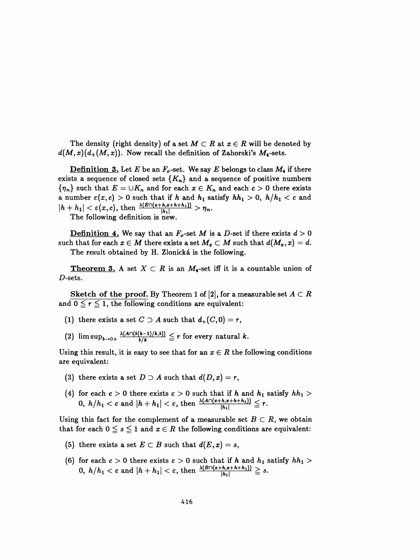The density (right density) of a set  $M \subset R$  at  $x \in R$  will be denoted by  $d(M,x)(d_+(M,x))$ . Now recall the definition of Zahorski's  $M_4$ -sets.

**Definition 3.** Let E be an  $F_{\sigma}$ -set. We say E belongs to class  $M_4$  if there exists a sequence of closed sets  $\{K_n\}$  and a sequence of positive numbers  $\{\eta_n\}$  such that  $E = \cup K_n$  and for each  $x \in K_n$  and each  $c > 0$  there exists a number  $\varepsilon(x,c) > 0$  such that if h and  $h_1$  satisfy  $hh_1 > 0$ ,  $h/h_1 < c$  and  $|h + h_1| < \varepsilon(x, c)$ , then  $\frac{\lambda(E \cap (x+h, x+h+h_1))}{|h_1|} > \eta_n$ .

The following definition is new.

**Definition 4.** We say that an  $F_q$ -set M is a D-set if there exists  $d > 0$ such that for each  $x \in M$  there exists a set  $M_x \subset M$  such that  $d(M_x,x) = d$ . The result obtained by H. Zlonická is the following.

**Theorem 3.** A set  $X \subset R$  is an  $M_4$ -set iff it is a countable union of  $D$ -sets.

Sketch of the proof. By Theorem 1 of [2], for a measurable set  $A \subset R$ and  $0 \le r \le 1$ , the following conditions are equivalent:

- (1) there exists a set  $C \supseteq A$  such that  $d_+(C,0) = r$ ,
- (2)  $\limsup_{b\to 0+} \frac{\lambda(A \cap (b(k-1)/k,b))}{b/k} \leq r$  for every natural k.

Using this result, it is easy to see that for an  $x \in R$  the following conditions are equivalent:

- (3) there exists a set  $D \supset A$  such that  $d(D, x) = r$ ,
- (4) for each  $c > 0$  there exists  $\varepsilon > 0$  such that if h and  $h_1$  satisfy  $hh_1 >$ 0,  $h/h_1 < c$  and  $|h + h_1| < c$ , then  $\frac{|h_1|}{|h_1|} \geq l$ .

Using this fact for the complement of a measurable set  $B \subset R$ , we obtain that for each  $0 \leq s \leq 1$  and  $x \in R$  the following conditions are equivalent:

- (5) there exists a set  $E \subset B$  such that  $d(E, x) = s$ ,
- (6) for each  $c > 0$  there exists  $\varepsilon > 0$  such that if h and  $h_1$  satisfy  $hh_1 >$ 0,  $h/h_1 < c$  and  $|h + h_1| < \varepsilon$ , then  $\frac{\lambda(B \cap (x+h,z+h+h_1))}{|h_1|} \geq s$ .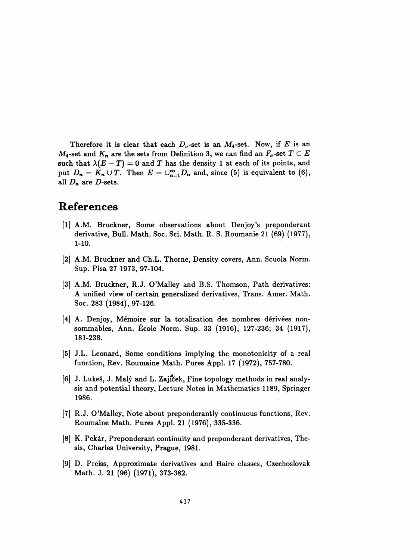Therefore it is clear that each  $D_{\sigma}$ -set is an  $M_{4}$ -set. Now, if E is an  $M_4$ -set and  $K_n$  are the sets from Definition 3, we can find an  $F_{\sigma}$ -set  $T \subset E$ such that  $\lambda (E - T) = 0$  and T has the density 1 at each of its points, and put  $D_n = K_n \cup T$ . Then  $E = \bigcup_{n=1}^{\infty} D_n$  and, since (5) is equivalent to (6), all  $D_n$  are D-sets.

## References

- [1] A.M. Bruckner, Some observations about Denjoy's preponderant derivative, Bull. Math. Soc. Sei. Math. R. S. Roumanie 21 (69) (1977), 1-10.
- [2] A.M. Bruckner and Ch.L. Thome, Density covers, Ann. Scuola Norm. Sup. Pisa 27 1973, 97-104.
- [3] A.M. Bruckner, R.J. O'Malley and B.S. Thomson, Path derivatives: A unified view of certain generalized derivatives, Trans. Amer. Math. Soc. 283 (1984), 97-126.
- [4] A. Denjoy, Mémoire sur la totalisation des nombres dérivées non sommables, Ann. École Norm. Sup. 33 (1916), 127-236; 34 (1917), 181-238.
- [5] J.L. Leonard, Some conditions implying the monotonicity of a real function, Rev. Roumaine Math. Pures Appl. 17 (1972), 757-780.
- [6] J. Lukeš, J. Malý and L. Zajíček, Fine topology methods in real analy sis and potential theory, Lecture Notes in Mathematics 1189, Springer 1986.
- [7] R.J. O'Malley, Note about preponderantly continuous functions, Rev. Roumaine Math. Pures Appl. 21 (1976), 335-336.
- [8] K. Pekár, Preponderant continuity and preponderant derivatives, The sis, Charles University, Prague, 1981.
- [9] D. Preiss, Approximate derivatives and Baire classes, Czechoslovak Math. J. 21 (96) (1971), 373-382.